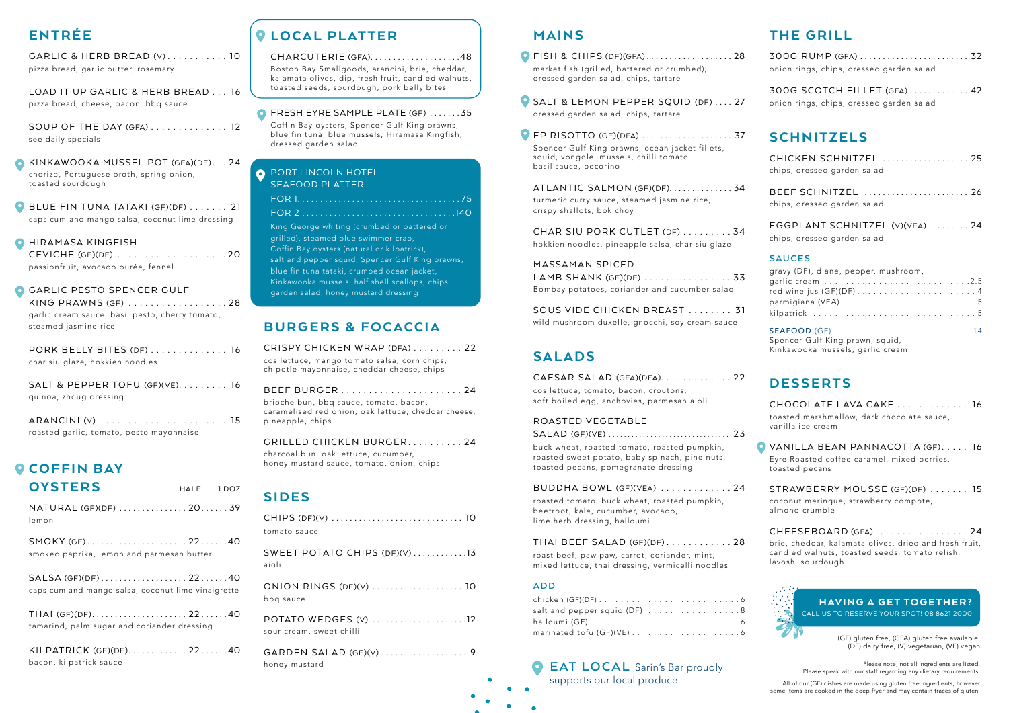# ENTRÉE

GARLIC & HERB BREAD (V) . . . . . . . . . . . 10 pizza bread, garlic butter, rosemary

LOAD IT UP GARLIC & HERB BREAD . . . 16 pizza bread, cheese, bacon, bbq sauce

SOUP OF THE DAY (GFA) . . . . . . . . . . . . . . 12 see daily specials

**BLUE FIN TUNA TATAKI (GF)(DF) ...... 21** capsicum and mango salsa, coconut lime dressing

### **O** HIRAMASA KINGFISH

KINKAWOOKA MUSSEL POT (GFA)(DF) . . . 24 chorizo, Portuguese broth, spring onion, toasted sourdough

CEVICHE (GF)(DF) . . . . . . . . . . . . . . . . . . . 20 passionfruit, avocado purée, fennel

### **GARLIC PESTO SPENCER GULF**

| KING PRAWNS (GF) 28                             |  |
|-------------------------------------------------|--|
| garlic cream sauce, basil pesto, cherry tomato, |  |
| steamed jasmine rice                            |  |

PORK BELLY BITES (DF) . . . . . . . . . . . . . . 16 char siu glaze, hokkien noodles

| SALT & PEPPER TOFU (GF)(VE). $\ldots \ldots \ldots$ 16 |  |
|--------------------------------------------------------|--|
| quinoa, zhoug dressing                                 |  |

- **O** FISH & CHIPS (DF)(GFA) . . . . . . . . . . . . . . . . . 28 market fish (grilled, battered or crumbed), dressed garden salad, chips, tartare
- SALT & LEMON PEPPER SQUID (DF) .... 27 dressed garden salad, chips, tartare

| ARANCINI (V)  15                         |
|------------------------------------------|
| roasted garlic, tomato, pesto mayonnaise |

## **O COFFIN BAY** OYSTERS HALF 1 DOZ

**O** EP RISOTTO (GF)(DFA) ...................... 37 Spencer Gulf King prawns, ocean jacket fillets, squid, vongole, mussels, chilli tomato basil sauce, pecorino

ATLANTIC SALMON (GF)(DF)..............34 turmeric curry sauce, steamed jasmine rice, crispy shallots, bok choy

CHAR SIU PORK CUTLET (DF) ........34 hokkien noodles, pineapple salsa, char siu glaze

SOUS VIDE CHICKEN BREAST . . . . . . . . 31 wild mushroom duxelle, gnocchi, soy cream sauce

| NATURAL (GF)(DF) 2039<br>lemon                                           |  |
|--------------------------------------------------------------------------|--|
| SMOKY (GF)2240<br>smoked paprika, lemon and parmesan butter              |  |
| SALSA (GF)(DF)2240<br>capsicum and mango salsa, coconut lime vinaigrette |  |
| THAI (GF)(DF)2240<br>tamarind, palm sugar and coriander dressing         |  |
| KILPATRICK (GF)(DF)2240<br>bacon, kilpatrick sauce                       |  |

# **Q LOCAL PLATTER**

#### CHARCUTERIE (GFA)....................48

## MAINS

**C** EAT LOCAL Sarin's Bar proudly supports our local produce

MASSAMAN SPICED LAMB SHANK (GF)(DF) . . . . . . . . . . . . . . . 33 Bombay potatoes, coriander and cucumber salad

### SALADS

| CAESAR SALAD (GFA)(DFA). 22                |  |
|--------------------------------------------|--|
| cos lettuce, tomato, bacon, croutons,      |  |
| soft boiled egg, anchovies, parmesan aioli |  |

### ROASTED VEGETABLE

SALAD (GF)(VE) . . . . . . . . . . . . . . . . . . . . . . . . . . . . . . . . 23 buck wheat, roasted tomato, roasted pumpkin, roasted sweet potato, baby spinach, pine nuts, toasted pecans, pomegranate dressing

#### BUDDHA BOWL (GF)(VEA) . . . . . . . . . . . . 24

roasted tomato, buck wheat, roasted pumpkin, beetroot, kale, cucumber, avocado, lime herb dressing, halloumi

**O** VANILLA BEAN PANNACOTTA (GF)..... 16 Eyre Roasted coffee caramel, mixed berries, toasted pecans

#### THAI BEEF SALAD (GF)(DF) . . . . . . . . . . . 28

roast beef, paw paw, carrot, coriander, mint, mixed lettuce, thai dressing, vermicelli noodles

#### **ADD**

| salt and pepper squid (DF)8 |
|-----------------------------|
|                             |
|                             |

### **O** PORT LINCOLN HOTEL SEAFOOD PLATTER

Please note, not all ingredients are listed. Please speak with our staff regarding any dietary requirements.

All of our (GF) dishes are made using gluten free ingredients, however some items are cooked in the deep fryer and may contain traces of gluten.

### BURGERS & FOCACCIA

CRISPY CHICKEN WRAP (DFA) . . . . . . . . 22 cos lettuce, mango tomato salsa, corn chips, chipotle mayonnaise, cheddar cheese, chips

| brioche bun, bbq sauce, tomato, bacon,              |
|-----------------------------------------------------|
| caramelised red onion, oak lettuce, cheddar cheese, |
| pineapple, chips                                    |

GRILLED CHICKEN BURGER . . . . . . . . . 24 charcoal bun, oak lettuce, cucumber, honey mustard sauce, tomato, onion, chips

# SIDES

| tomato sauce                                    |
|-------------------------------------------------|
| SWEET POTATO CHIPS (DF)(V) 13<br>aioli          |
| ONION RINGS (DF)(V)  10<br>bbq sauce            |
| POTATO WEDGES (V)12<br>sour cream, sweet chilli |
| GARDEN SALAD (GF)(V)  9<br>honey mustard        |

# THE GRILL

|  | onion rings, chips, dressed garden salad |  |  |  |
|--|------------------------------------------|--|--|--|

300G SCOTCH FILLET (GFA) . . . . . . . . . . . . . 42 onion rings, chips, dressed garden salad

### **SCHNITZELS**

| CHICKEN SCHNITZEL  25       |  |
|-----------------------------|--|
| chips, dressed garden salad |  |



|                             | BEEF SCHNITZEL  26 |
|-----------------------------|--------------------|
| chips, dressed garden salad |                    |

EGGPLANT SCHNITZEL (V)(VEA) . . . . . . . . 24 chips, dressed garden salad

### **SAUCES**

| gravy (DF), diane, pepper, mushroom,                                |  |
|---------------------------------------------------------------------|--|
|                                                                     |  |
|                                                                     |  |
|                                                                     |  |
|                                                                     |  |
| Spencer Gulf King prawn, squid,<br>Kinkawooka mussels, garlic cream |  |

## DESSERTS

| CHOCOLATE LAVA CAKE 16                     |  |
|--------------------------------------------|--|
| toasted marshmallow, dark chocolate sauce, |  |
| vanilla ice cream                          |  |

STRAWBERRY MOUSSE (GF)(DF) . . . . . . . 15 coconut meringue, strawberry compote, almond crumble

CHEESEBOARD (GFA) . . . . . . . . . . . . . . . . . 24 brie, cheddar, kalamata olives, dried and fresh fruit, candied walnuts, toasted seeds, tomato relish, lavosh, sourdough

Boston Bay Smallgoods, arancini, brie, cheddar, kalamata olives, dip, fresh fruit, candied walnuts, toasted seeds, sourdough, pork belly bites

#### **O** FRESH EYRE SAMPLE PLATE (GF) ......35

Coffin Bay oysters, Spencer Gulf King prawns, blue fin tuna, blue mussels, Hiramasa Kingfish, dressed garden salad

| King George whiting (crumbed or battered or |  |
|---------------------------------------------|--|

grilled), steamed blue swimmer crab, Coffin Bay oysters (natural or kilpatrick), salt and pepper squid, Spencer Gulf King prawns, blue fin tuna tataki, crumbed ocean jacket, Kinkawooka mussels, half shell scallops, chips, garden salad, honey mustard dressing